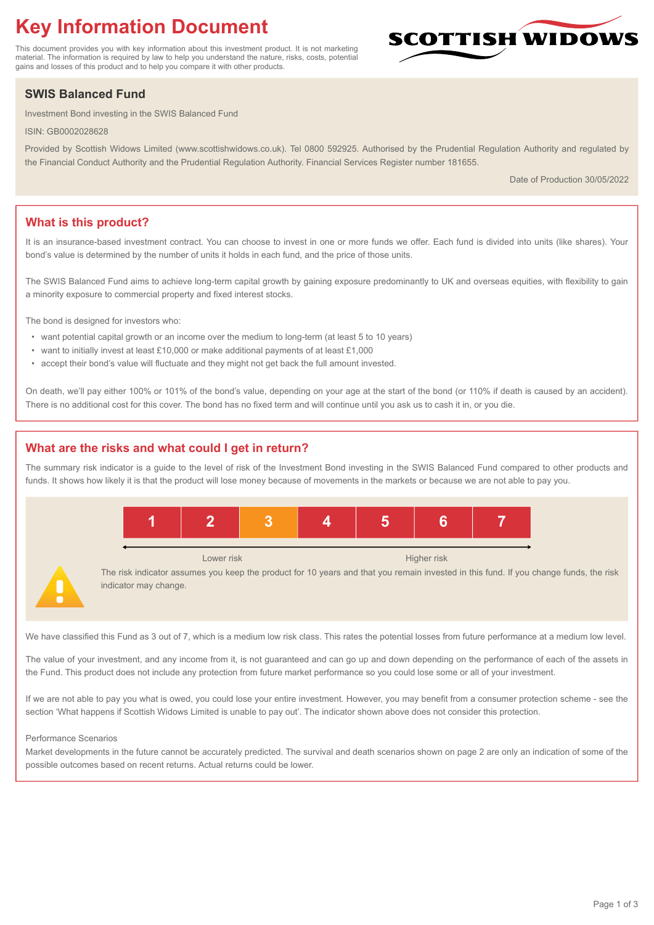# **Key Information Document**

This document provides you with key information about this investment product. It is not marketing material. The information is required by law to help you understand the nature, risks, costs, potential gains and losses of this product and to help you compare it with other products.

## **SWIS Balanced Fund**

Investment Bond investing in the SWIS Balanced Fund

ISIN: GB0002028628

Provided by Scottish Widows Limited (www.scottishwidows.co.uk). Tel 0800 592925. Authorised by the Prudential Regulation Authority and regulated by the Financial Conduct Authority and the Prudential Regulation Authority. Financial Services Register number 181655.

Date of Production 30/05/2022

**SCOTTISH WIDOW** 

## **What is this product?**

It is an insurance-based investment contract. You can choose to invest in one or more funds we offer. Each fund is divided into units (like shares). Your bond's value is determined by the number of units it holds in each fund, and the price of those units.

The SWIS Balanced Fund aims to achieve long-term capital growth by gaining exposure predominantly to UK and overseas equities, with flexibility to gain a minority exposure to commercial property and fixed interest stocks.

The bond is designed for investors who:

- want potential capital growth or an income over the medium to long-term (at least 5 to 10 years)
- want to initially invest at least £10,000 or make additional payments of at least £1,000
- accept their bond's value will fluctuate and they might not get back the full amount invested.

On death, we'll pay either 100% or 101% of the bond's value, depending on your age at the start of the bond (or 110% if death is caused by an accident). There is no additional cost for this cover. The bond has no fixed term and will continue until you ask us to cash it in, or you die.

## **What are the risks and what could I get in return?**

The summary risk indicator is a guide to the level of risk of the Investment Bond investing in the SWIS Balanced Fund compared to other products and funds. It shows how likely it is that the product will lose money because of movements in the markets or because we are not able to pay you.



We have classified this Fund as 3 out of 7, which is a medium low risk class. This rates the potential losses from future performance at a medium low level.

The value of your investment, and any income from it, is not guaranteed and can go up and down depending on the performance of each of the assets in the Fund. This product does not include any protection from future market performance so you could lose some or all of your investment.

If we are not able to pay you what is owed, you could lose your entire investment. However, you may benefit from a consumer protection scheme - see the section 'What happens if Scottish Widows Limited is unable to pay out'. The indicator shown above does not consider this protection.

#### Performance Scenarios

Market developments in the future cannot be accurately predicted. The survival and death scenarios shown on page 2 are only an indication of some of the possible outcomes based on recent returns. Actual returns could be lower.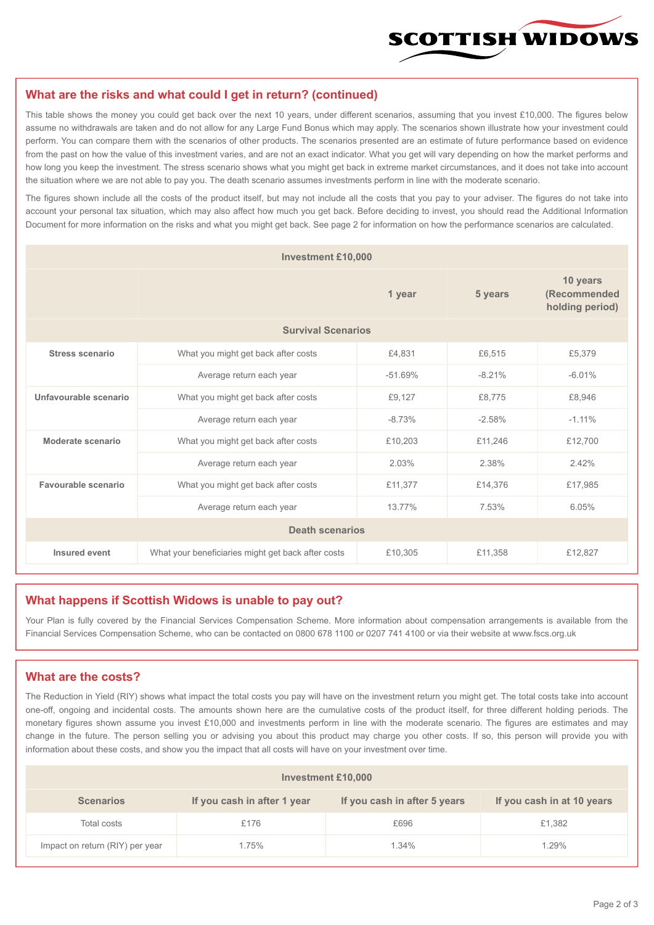

#### **What are the risks and what could I get in return? (continued)**

This table shows the money you could get back over the next 10 years, under different scenarios, assuming that you invest £10,000. The figures below assume no withdrawals are taken and do not allow for any Large Fund Bonus which may apply. The scenarios shown illustrate how your investment could perform. You can compare them with the scenarios of other products. The scenarios presented are an estimate of future performance based on evidence from the past on how the value of this investment varies, and are not an exact indicator. What you get will vary depending on how the market performs and how long you keep the investment. The stress scenario shows what you might get back in extreme market circumstances, and it does not take into account the situation where we are not able to pay you. The death scenario assumes investments perform in line with the moderate scenario.

The figures shown include all the costs of the product itself, but may not include all the costs that you pay to your adviser. The figures do not take into account your personal tax situation, which may also affect how much you get back. Before deciding to invest, you should read the Additional Information Document for more information on the risks and what you might get back. See page 2 for information on how the performance scenarios are calculated.

| <b>Investment £10,000</b> |                                                    |          |          |                                             |  |  |
|---------------------------|----------------------------------------------------|----------|----------|---------------------------------------------|--|--|
|                           |                                                    | 1 year   | 5 years  | 10 years<br>(Recommended<br>holding period) |  |  |
| <b>Survival Scenarios</b> |                                                    |          |          |                                             |  |  |
| <b>Stress scenario</b>    | £4,831<br>What you might get back after costs      |          | £6,515   | £5,379                                      |  |  |
|                           | $-51.69%$<br>Average return each year              |          | $-8.21%$ | $-6.01%$                                    |  |  |
| Unfavourable scenario     | What you might get back after costs<br>£9,127      |          | £8,775   | £8,946                                      |  |  |
|                           | Average return each year                           | $-8.73%$ | $-2.58%$ | $-1.11%$                                    |  |  |
| Moderate scenario         | What you might get back after costs                | £10,203  | £11,246  | £12,700                                     |  |  |
|                           | Average return each year                           | 2.03%    | 2.38%    | 2.42%                                       |  |  |
| Favourable scenario       | What you might get back after costs                | £11,377  | £14,376  | £17,985                                     |  |  |
| Average return each year  |                                                    | 13.77%   | 7.53%    | 6.05%                                       |  |  |
| <b>Death scenarios</b>    |                                                    |          |          |                                             |  |  |
| Insured event             | What your beneficiaries might get back after costs | £10,305  | £11,358  | £12,827                                     |  |  |

#### **What happens if Scottish Widows is unable to pay out?**

Your Plan is fully covered by the Financial Services Compensation Scheme. More information about compensation arrangements is available from the Financial Services Compensation Scheme, who can be contacted on 0800 678 1100 or 0207 741 4100 or via their website at www.fscs.org.uk

### **What are the costs?**

The Reduction in Yield (RIY) shows what impact the total costs you pay will have on the investment return you might get. The total costs take into account one-off, ongoing and incidental costs. The amounts shown here are the cumulative costs of the product itself, for three different holding periods. The monetary figures shown assume you invest £10,000 and investments perform in line with the moderate scenario. The figures are estimates and may change in the future. The person selling you or advising you about this product may charge you other costs. If so, this person will provide you with information about these costs, and show you the impact that all costs will have on your investment over time.

| <b>Investment £10,000</b>       |                             |                              |                            |  |  |  |
|---------------------------------|-----------------------------|------------------------------|----------------------------|--|--|--|
| <b>Scenarios</b>                | If you cash in after 1 year | If you cash in after 5 years | If you cash in at 10 years |  |  |  |
| Total costs                     | £176                        | £696                         | £1,382                     |  |  |  |
| Impact on return (RIY) per year | 1.75%                       | $1.34\%$                     | 1.29%                      |  |  |  |